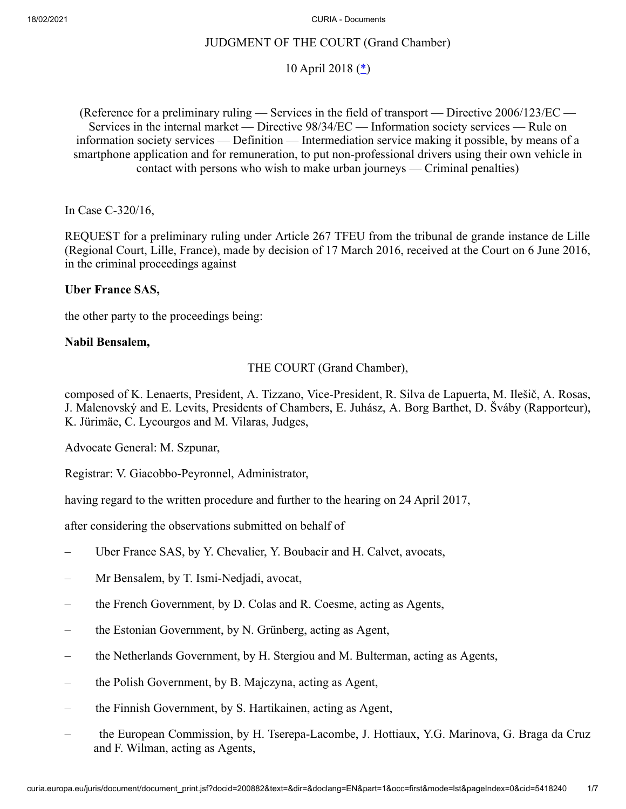# JUDGMENT OF THE COURT (Grand Chamber)

# <span id="page-0-0"></span>10 April 2018 [\(\\*](#page-6-0))

(Reference for a preliminary ruling — Services in the field of transport — Directive 2006/123/EC — Services in the internal market — Directive 98/34/EC — Information society services — Rule on information society services — Definition — Intermediation service making it possible, by means of a smartphone application and for remuneration, to put non-professional drivers using their own vehicle in contact with persons who wish to make urban journeys — Criminal penalties)

In Case C‑320/16,

REQUEST for a preliminary ruling under Article 267 TFEU from the tribunal de grande instance de Lille (Regional Court, Lille, France), made by decision of 17 March 2016, received at the Court on 6 June 2016, in the criminal proceedings against

## **Uber France SAS,**

the other party to the proceedings being:

## **Nabil Bensalem,**

# THE COURT (Grand Chamber),

composed of K. Lenaerts, President, A. Tizzano, Vice-President, R. Silva de Lapuerta, M. Ilešič, A. Rosas, J. Malenovský and E. Levits, Presidents of Chambers, E. Juhász, A. Borg Barthet, D. Šváby (Rapporteur), K. Jürimäe, C. Lycourgos and M. Vilaras, Judges,

Advocate General: M. Szpunar,

Registrar: V. Giacobbo-Peyronnel, Administrator,

having regard to the written procedure and further to the hearing on 24 April 2017,

after considering the observations submitted on behalf of

- Uber France SAS, by Y. Chevalier, Y. Boubacir and H. Calvet, avocats,
- Mr Bensalem, by T. Ismi-Nedjadi, avocat,
- the French Government, by D. Colas and R. Coesme, acting as Agents,
- the Estonian Government, by N. Grünberg, acting as Agent,
- the Netherlands Government, by H. Stergiou and M. Bulterman, acting as Agents,
- the Polish Government, by B. Majczyna, acting as Agent,
- the Finnish Government, by S. Hartikainen, acting as Agent,
- the European Commission, by H. Tserepa-Lacombe, J. Hottiaux, Y.G. Marinova, G. Braga da Cruz and F. Wilman, acting as Agents,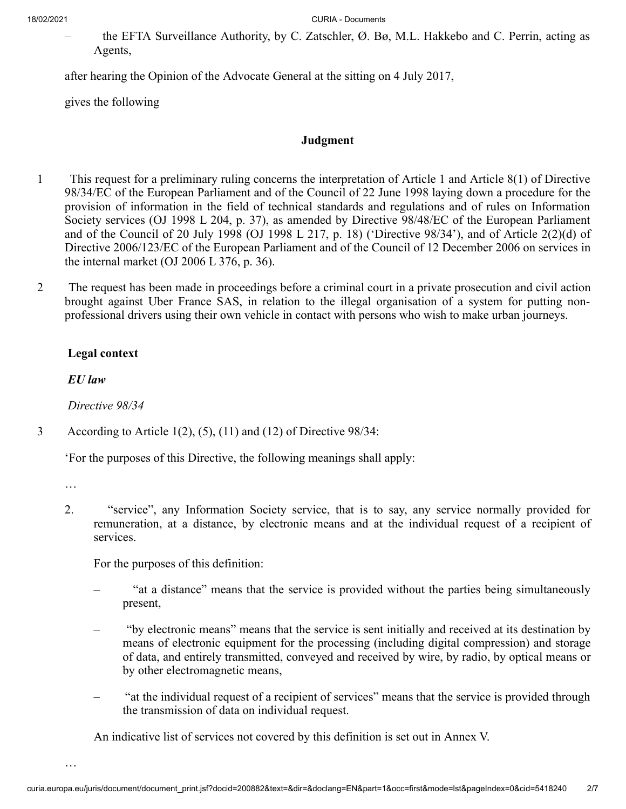– the EFTA Surveillance Authority, by C. Zatschler, Ø. Bø, M.L. Hakkebo and C. Perrin, acting as Agents,

after hearing the Opinion of the Advocate General at the sitting on 4 July 2017,

gives the following

## **Judgment**

- 1 This request for a preliminary ruling concerns the interpretation of Article 1 and Article 8(1) of Directive 98/34/EC of the European Parliament and of the Council of 22 June 1998 laying down a procedure for the provision of information in the field of technical standards and regulations and of rules on Information Society services (OJ 1998 L 204, p. 37), as amended by Directive 98/48/EC of the European Parliament and of the Council of 20 July 1998 (OJ 1998 L 217, p. 18) ('Directive 98/34'), and of Article 2(2)(d) of Directive 2006/123/EC of the European Parliament and of the Council of 12 December 2006 on services in the internal market (OJ 2006 L 376, p. 36).
- 2 The request has been made in proceedings before a criminal court in a private prosecution and civil action brought against Uber France SAS, in relation to the illegal organisation of a system for putting nonprofessional drivers using their own vehicle in contact with persons who wish to make urban journeys.

# **Legal context**

*EU law*

*Directive 98/34*

3 According to Article 1(2), (5), (11) and (12) of Directive  $98/34$ :

'For the purposes of this Directive, the following meanings shall apply:

…

2. "service", any Information Society service, that is to say, any service normally provided for remuneration, at a distance, by electronic means and at the individual request of a recipient of services.

For the purposes of this definition:

- "at a distance" means that the service is provided without the parties being simultaneously present,
- "by electronic means" means that the service is sent initially and received at its destination by means of electronic equipment for the processing (including digital compression) and storage of data, and entirely transmitted, conveyed and received by wire, by radio, by optical means or by other electromagnetic means,
- "at the individual request of a recipient of services" means that the service is provided through the transmission of data on individual request.

An indicative list of services not covered by this definition is set out in Annex V.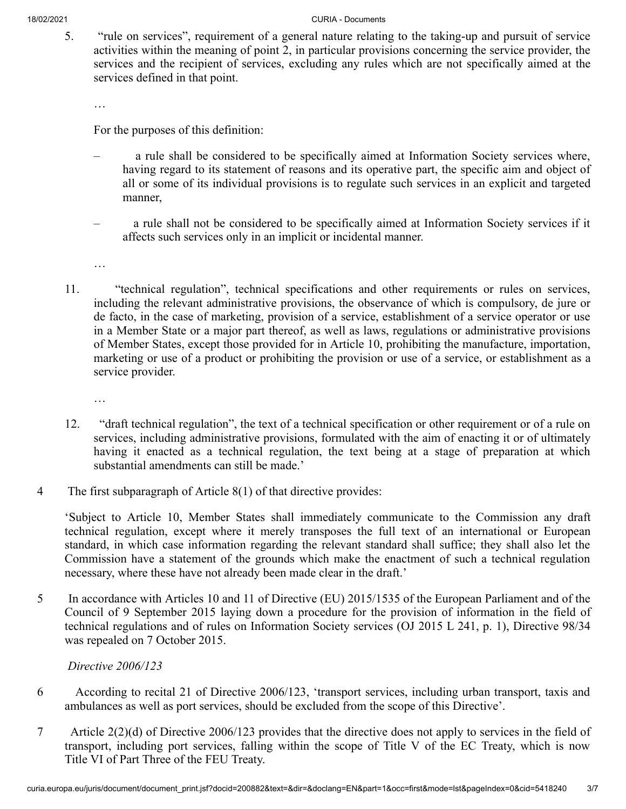5. "rule on services", requirement of a general nature relating to the taking-up and pursuit of service activities within the meaning of point 2, in particular provisions concerning the service provider, the services and the recipient of services, excluding any rules which are not specifically aimed at the services defined in that point.

…

For the purposes of this definition:

- a rule shall be considered to be specifically aimed at Information Society services where, having regard to its statement of reasons and its operative part, the specific aim and object of all or some of its individual provisions is to regulate such services in an explicit and targeted manner,
- a rule shall not be considered to be specifically aimed at Information Society services if it affects such services only in an implicit or incidental manner.
- …
- 11. "technical regulation", technical specifications and other requirements or rules on services, including the relevant administrative provisions, the observance of which is compulsory, de jure or de facto, in the case of marketing, provision of a service, establishment of a service operator or use in a Member State or a major part thereof, as well as laws, regulations or administrative provisions of Member States, except those provided for in Article 10, prohibiting the manufacture, importation, marketing or use of a product or prohibiting the provision or use of a service, or establishment as a service provider.

…

- 12. "draft technical regulation", the text of a technical specification or other requirement or of a rule on services, including administrative provisions, formulated with the aim of enacting it or of ultimately having it enacted as a technical regulation, the text being at a stage of preparation at which substantial amendments can still be made.'
- 4 The first subparagraph of Article 8(1) of that directive provides:

'Subject to Article 10, Member States shall immediately communicate to the Commission any draft technical regulation, except where it merely transposes the full text of an international or European standard, in which case information regarding the relevant standard shall suffice; they shall also let the Commission have a statement of the grounds which make the enactment of such a technical regulation necessary, where these have not already been made clear in the draft.'

5 In accordance with Articles 10 and 11 of Directive (EU) 2015/1535 of the European Parliament and of the Council of 9 September 2015 laying down a procedure for the provision of information in the field of technical regulations and of rules on Information Society services (OJ 2015 L 241, p. 1), Directive 98/34 was repealed on 7 October 2015.

*Directive 2006/123*

- 6 According to recital 21 of Directive 2006/123, 'transport services, including urban transport, taxis and ambulances as well as port services, should be excluded from the scope of this Directive'.
- 7 Article 2(2)(d) of Directive 2006/123 provides that the directive does not apply to services in the field of transport, including port services, falling within the scope of Title V of the EC Treaty, which is now Title VI of Part Three of the FEU Treaty.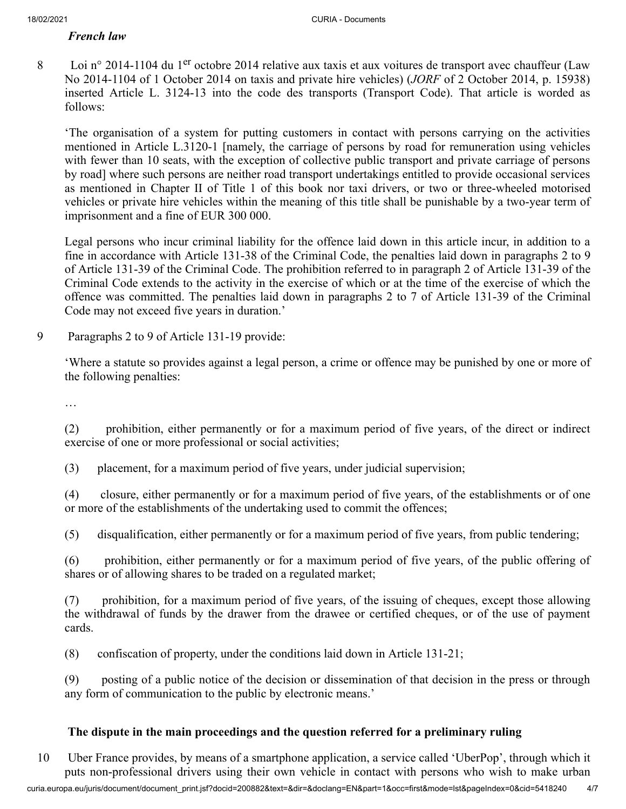8 Loi nº 2014-1104 du 1<sup>er</sup> octobre 2014 relative aux taxis et aux voitures de transport avec chauffeur (Law No 2014-1104 of 1 October 2014 on taxis and private hire vehicles) (*JORF* of 2 October 2014, p. 15938) inserted Article L. 3124-13 into the code des transports (Transport Code). That article is worded as follows:

'The organisation of a system for putting customers in contact with persons carrying on the activities mentioned in Article L.3120-1 [namely, the carriage of persons by road for remuneration using vehicles with fewer than 10 seats, with the exception of collective public transport and private carriage of persons by road] where such persons are neither road transport undertakings entitled to provide occasional services as mentioned in Chapter II of Title 1 of this book nor taxi drivers, or two or three-wheeled motorised vehicles or private hire vehicles within the meaning of this title shall be punishable by a two-year term of imprisonment and a fine of EUR 300 000.

Legal persons who incur criminal liability for the offence laid down in this article incur, in addition to a fine in accordance with Article 131-38 of the Criminal Code, the penalties laid down in paragraphs 2 to 9 of Article 131-39 of the Criminal Code. The prohibition referred to in paragraph 2 of Article 131-39 of the Criminal Code extends to the activity in the exercise of which or at the time of the exercise of which the offence was committed. The penalties laid down in paragraphs 2 to 7 of Article 131-39 of the Criminal Code may not exceed five years in duration.'

9 Paragraphs 2 to 9 of Article 131-19 provide:

'Where a statute so provides against a legal person, a crime or offence may be punished by one or more of the following penalties:

…

(2) prohibition, either permanently or for a maximum period of five years, of the direct or indirect exercise of one or more professional or social activities;

(3) placement, for a maximum period of five years, under judicial supervision;

(4) closure, either permanently or for a maximum period of five years, of the establishments or of one or more of the establishments of the undertaking used to commit the offences;

(5) disqualification, either permanently or for a maximum period of five years, from public tendering;

(6) prohibition, either permanently or for a maximum period of five years, of the public offering of shares or of allowing shares to be traded on a regulated market;

(7) prohibition, for a maximum period of five years, of the issuing of cheques, except those allowing the withdrawal of funds by the drawer from the drawee or certified cheques, or of the use of payment cards.

(8) confiscation of property, under the conditions laid down in Article 131-21;

(9) posting of a public notice of the decision or dissemination of that decision in the press or through any form of communication to the public by electronic means.'

## **The dispute in the main proceedings and the question referred for a preliminary ruling**

10 Uber France provides, by means of a smartphone application, a service called 'UberPop', through which it puts non-professional drivers using their own vehicle in contact with persons who wish to make urban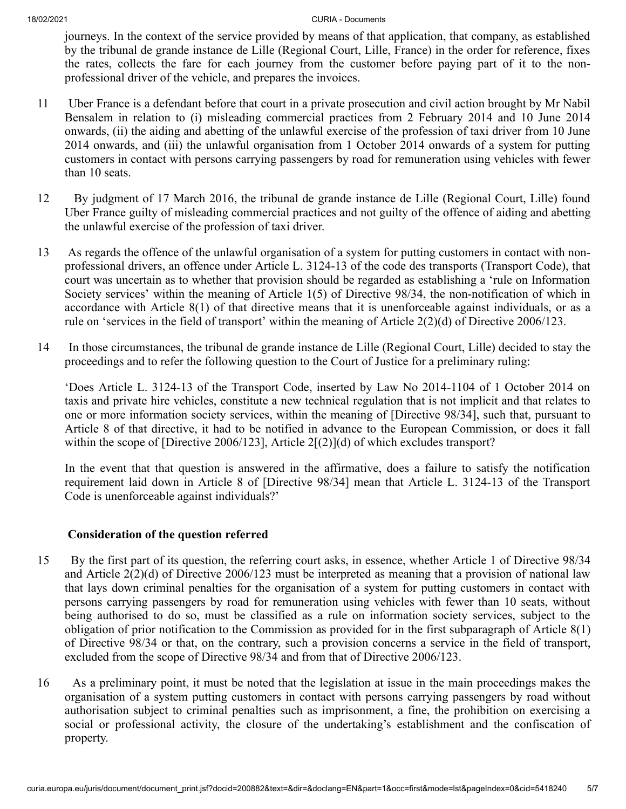journeys. In the context of the service provided by means of that application, that company, as established by the tribunal de grande instance de Lille (Regional Court, Lille, France) in the order for reference, fixes the rates, collects the fare for each journey from the customer before paying part of it to the nonprofessional driver of the vehicle, and prepares the invoices.

- 11 Uber France is a defendant before that court in a private prosecution and civil action brought by Mr Nabil Bensalem in relation to (i) misleading commercial practices from 2 February 2014 and 10 June 2014 onwards, (ii) the aiding and abetting of the unlawful exercise of the profession of taxi driver from 10 June 2014 onwards, and (iii) the unlawful organisation from 1 October 2014 onwards of a system for putting customers in contact with persons carrying passengers by road for remuneration using vehicles with fewer than 10 seats.
- 12 By judgment of 17 March 2016, the tribunal de grande instance de Lille (Regional Court, Lille) found Uber France guilty of misleading commercial practices and not guilty of the offence of aiding and abetting the unlawful exercise of the profession of taxi driver.
- 13 As regards the offence of the unlawful organisation of a system for putting customers in contact with nonprofessional drivers, an offence under Article L. 3124-13 of the code des transports (Transport Code), that court was uncertain as to whether that provision should be regarded as establishing a 'rule on Information Society services' within the meaning of Article 1(5) of Directive 98/34, the non-notification of which in accordance with Article 8(1) of that directive means that it is unenforceable against individuals, or as a rule on 'services in the field of transport' within the meaning of Article 2(2)(d) of Directive 2006/123.
- 14 In those circumstances, the tribunal de grande instance de Lille (Regional Court, Lille) decided to stay the proceedings and to refer the following question to the Court of Justice for a preliminary ruling:

'Does Article L. 3124-13 of the Transport Code, inserted by Law No 2014-1104 of 1 October 2014 on taxis and private hire vehicles, constitute a new technical regulation that is not implicit and that relates to one or more information society services, within the meaning of [Directive 98/34], such that, pursuant to Article 8 of that directive, it had to be notified in advance to the European Commission, or does it fall within the scope of [Directive 2006/123], Article  $2[(2)]$ (d) of which excludes transport?

In the event that that question is answered in the affirmative, does a failure to satisfy the notification requirement laid down in Article 8 of [Directive 98/34] mean that Article L. 3124-13 of the Transport Code is unenforceable against individuals?'

## **Consideration of the question referred**

- 15 By the first part of its question, the referring court asks, in essence, whether Article 1 of Directive 98/34 and Article 2(2)(d) of Directive 2006/123 must be interpreted as meaning that a provision of national law that lays down criminal penalties for the organisation of a system for putting customers in contact with persons carrying passengers by road for remuneration using vehicles with fewer than 10 seats, without being authorised to do so, must be classified as a rule on information society services, subject to the obligation of prior notification to the Commission as provided for in the first subparagraph of Article 8(1) of Directive 98/34 or that, on the contrary, such a provision concerns a service in the field of transport, excluded from the scope of Directive 98/34 and from that of Directive 2006/123.
- 16 As a preliminary point, it must be noted that the legislation at issue in the main proceedings makes the organisation of a system putting customers in contact with persons carrying passengers by road without authorisation subject to criminal penalties such as imprisonment, a fine, the prohibition on exercising a social or professional activity, the closure of the undertaking's establishment and the confiscation of property.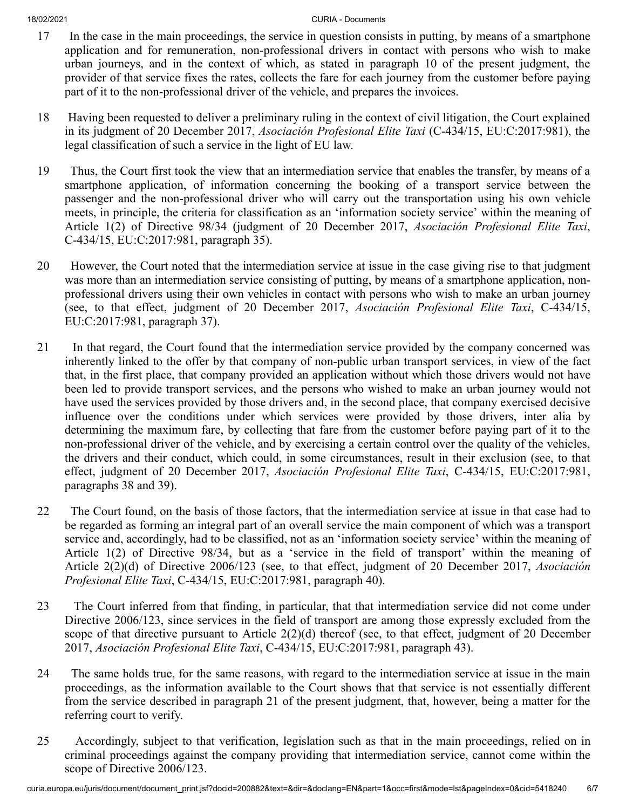- 17 In the case in the main proceedings, the service in question consists in putting, by means of a smartphone application and for remuneration, non-professional drivers in contact with persons who wish to make urban journeys, and in the context of which, as stated in paragraph 10 of the present judgment, the provider of that service fixes the rates, collects the fare for each journey from the customer before paying part of it to the non-professional driver of the vehicle, and prepares the invoices.
- 18 Having been requested to deliver a preliminary ruling in the context of civil litigation, the Court explained in its judgment of 20 December 2017, *Asociación Profesional Elite Taxi* (C‑434/15, EU:C:2017:981), the legal classification of such a service in the light of EU law.
- 19 Thus, the Court first took the view that an intermediation service that enables the transfer, by means of a smartphone application, of information concerning the booking of a transport service between the passenger and the non-professional driver who will carry out the transportation using his own vehicle meets, in principle, the criteria for classification as an 'information society service' within the meaning of Article 1(2) of Directive 98/34 (judgment of 20 December 2017, *Asociación Profesional Elite Taxi*, C‑434/15, EU:C:2017:981, paragraph 35).
- 20 However, the Court noted that the intermediation service at issue in the case giving rise to that judgment was more than an intermediation service consisting of putting, by means of a smartphone application, nonprofessional drivers using their own vehicles in contact with persons who wish to make an urban journey (see, to that effect, judgment of 20 December 2017, *Asociación Profesional Elite Taxi*, C‑434/15, EU:C:2017:981, paragraph 37).
- 21 In that regard, the Court found that the intermediation service provided by the company concerned was inherently linked to the offer by that company of non-public urban transport services, in view of the fact that, in the first place, that company provided an application without which those drivers would not have been led to provide transport services, and the persons who wished to make an urban journey would not have used the services provided by those drivers and, in the second place, that company exercised decisive influence over the conditions under which services were provided by those drivers, inter alia by determining the maximum fare, by collecting that fare from the customer before paying part of it to the non-professional driver of the vehicle, and by exercising a certain control over the quality of the vehicles, the drivers and their conduct, which could, in some circumstances, result in their exclusion (see, to that effect, judgment of 20 December 2017, *Asociación Profesional Elite Taxi*, C‑434/15, EU:C:2017:981, paragraphs 38 and 39).
- 22 The Court found, on the basis of those factors, that the intermediation service at issue in that case had to be regarded as forming an integral part of an overall service the main component of which was a transport service and, accordingly, had to be classified, not as an 'information society service' within the meaning of Article 1(2) of Directive 98/34, but as a 'service in the field of transport' within the meaning of Article 2(2)(d) of Directive 2006/123 (see, to that effect, judgment of 20 December 2017, *Asociación Profesional Elite Taxi*, C‑434/15, EU:C:2017:981, paragraph 40).
- 23 The Court inferred from that finding, in particular, that that intermediation service did not come under Directive 2006/123, since services in the field of transport are among those expressly excluded from the scope of that directive pursuant to Article 2(2)(d) thereof (see, to that effect, judgment of 20 December 2017, *Asociación Profesional Elite Taxi*, C‑434/15, EU:C:2017:981, paragraph 43).
- 24 The same holds true, for the same reasons, with regard to the intermediation service at issue in the main proceedings, as the information available to the Court shows that that service is not essentially different from the service described in paragraph 21 of the present judgment, that, however, being a matter for the referring court to verify.
- 25 Accordingly, subject to that verification, legislation such as that in the main proceedings, relied on in criminal proceedings against the company providing that intermediation service, cannot come within the scope of Directive 2006/123.